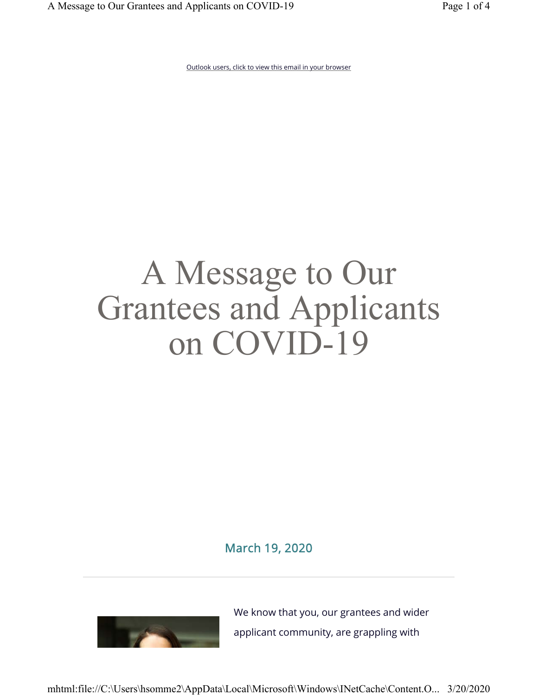Outlook users, click to view this email in your browser

# A Message to Our Grantees and Applicants on COVID-19

March 19, 2020



We know that you, our grantees and wider applicant community, are grappling with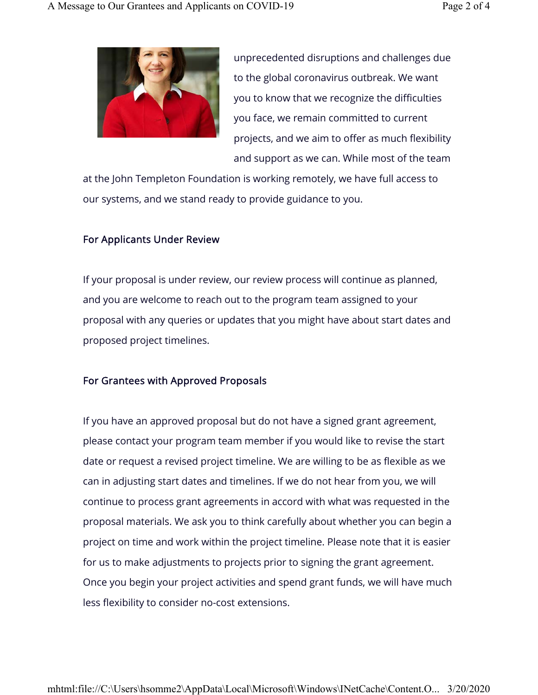

unprecedented disruptions and challenges due to the global coronavirus outbreak. We want you to know that we recognize the difficulties you face, we remain committed to current projects, and we aim to offer as much flexibility and support as we can. While most of the team

at the John Templeton Foundation is working remotely, we have full access to our systems, and we stand ready to provide guidance to you.

### For Applicants Under Review

If your proposal is under review, our review process will continue as planned, and you are welcome to reach out to the program team assigned to your proposal with any queries or updates that you might have about start dates and proposed project timelines.

#### For Grantees with Approved Proposals

If you have an approved proposal but do not have a signed grant agreement, please contact your program team member if you would like to revise the start date or request a revised project timeline. We are willing to be as flexible as we can in adjusting start dates and timelines. If we do not hear from you, we will continue to process grant agreements in accord with what was requested in the proposal materials. We ask you to think carefully about whether you can begin a project on time and work within the project timeline. Please note that it is easier for us to make adjustments to projects prior to signing the grant agreement. Once you begin your project activities and spend grant funds, we will have much less flexibility to consider no-cost extensions.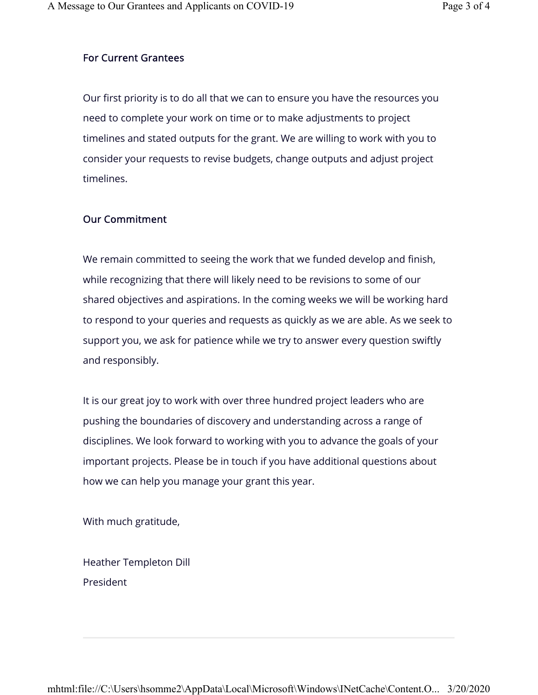## For Current Grantees

Our first priority is to do all that we can to ensure you have the resources you need to complete your work on time or to make adjustments to project timelines and stated outputs for the grant. We are willing to work with you to consider your requests to revise budgets, change outputs and adjust project timelines.

#### Our Commitment

We remain committed to seeing the work that we funded develop and finish, while recognizing that there will likely need to be revisions to some of our shared objectives and aspirations. In the coming weeks we will be working hard to respond to your queries and requests as quickly as we are able. As we seek to support you, we ask for patience while we try to answer every question swiftly and responsibly.

It is our great joy to work with over three hundred project leaders who are pushing the boundaries of discovery and understanding across a range of disciplines. We look forward to working with you to advance the goals of your important projects. Please be in touch if you have additional questions about how we can help you manage your grant this year.

With much gratitude,

Heather Templeton Dill President